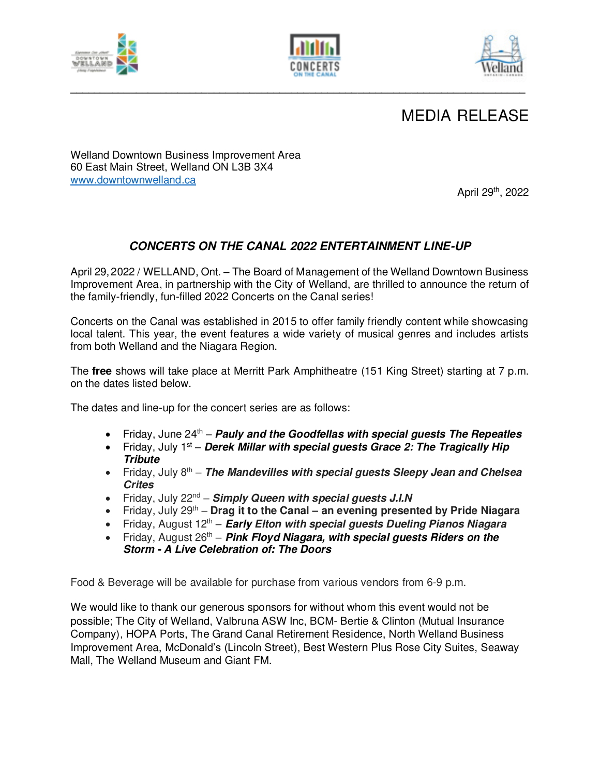



**\_\_\_\_\_\_\_\_\_\_\_\_\_\_\_\_\_\_\_\_\_\_\_\_\_\_\_\_\_\_\_\_\_\_\_\_\_\_\_\_\_\_\_\_\_\_\_\_\_\_\_\_\_\_\_\_\_\_\_\_\_\_\_\_\_\_\_\_\_\_\_\_\_\_\_\_** 



## MEDIA RELEASE

Welland Downtown Business Improvement Area 60 East Main Street, Welland ON L3B 3X4 [www.downtownwelland.ca](about:blank) 

April 29th, 2022

## *CONCERTS ON THE CANAL 2022 ENTERTAINMENT LINE-UP*

April 29,2022 / WELLAND, Ont. – The Board of Management of the Welland Downtown Business Improvement Area, in partnership with the City of Welland, are thrilled to announce the return of the family-friendly, fun-filled 2022 Concerts on the Canal series!

Concerts on the Canal was established in 2015 to offer family friendly content while showcasing local talent. This year, the event features a wide variety of musical genres and includes artists from both Welland and the Niagara Region.

The **free** shows will take place at Merritt Park Amphitheatre (151 King Street) starting at 7 p.m. on the dates listed below.

The dates and line-up for the concert series are as follows:

- Friday, June 24<sup>th</sup> **Pauly and the Goodfellas with special guests The Repeatles**
- Friday, July 1<sup>st</sup> *Derek Millar with special quests Grace 2: The Tragically Hip Tribute*
- Friday, July 8<sup>th</sup> **The Mandevilles with special guests Sleepy Jean and Chelsea** *Crites*
- Friday, July 22nd *Simply Queen with special guests J.I.N*
- Friday, July 29<sup>th</sup> **Drag it to the Canal an evening presented by Pride Niagara**
- Friday, August 12<sup>th</sup> *Early Elton with special quests Dueling Pianos Niagara*
- Friday, August 26<sup>th</sup> **Pink Floyd Niagara, with special guests Riders on the** *Storm - A Live Celebration of: The Doors*

Food & Beverage will be available for purchase from various vendors from 6-9 p.m.

We would like to thank our generous sponsors for without whom this event would not be possible; The City of Welland, Valbruna ASW Inc, BCM- Bertie & Clinton (Mutual Insurance Company), HOPA Ports, The Grand Canal Retirement Residence, North Welland Business Improvement Area, McDonald's (Lincoln Street), Best Western Plus Rose City Suites, Seaway Mall, The Welland Museum and Giant FM.